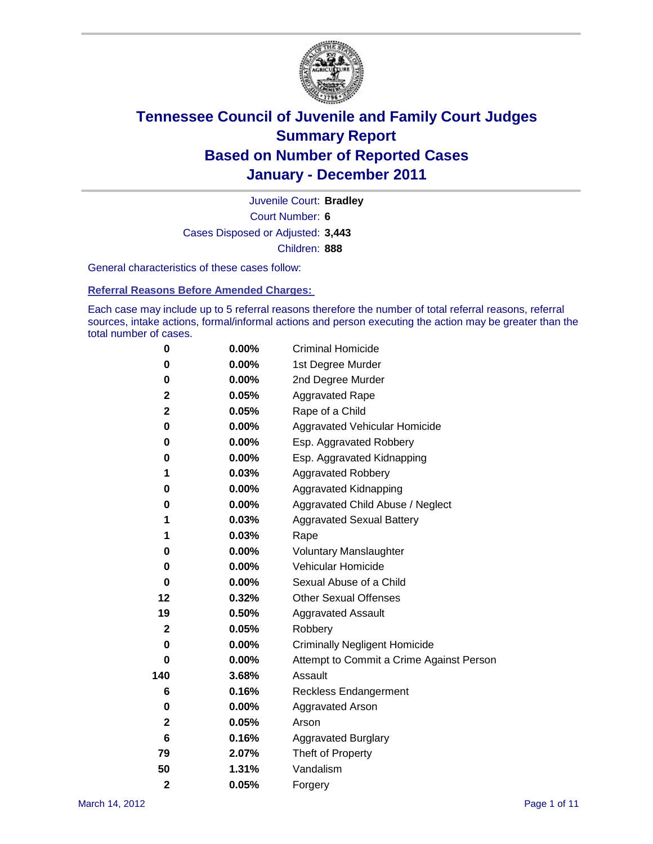

Court Number: **6** Juvenile Court: **Bradley** Cases Disposed or Adjusted: **3,443** Children: **888**

General characteristics of these cases follow:

**Referral Reasons Before Amended Charges:** 

Each case may include up to 5 referral reasons therefore the number of total referral reasons, referral sources, intake actions, formal/informal actions and person executing the action may be greater than the total number of cases.

| 0              | $0.00\%$ | <b>Criminal Homicide</b>                 |  |  |  |
|----------------|----------|------------------------------------------|--|--|--|
| 0              | 0.00%    | 1st Degree Murder                        |  |  |  |
| 0              | $0.00\%$ | 2nd Degree Murder                        |  |  |  |
| $\mathbf 2$    | 0.05%    | <b>Aggravated Rape</b>                   |  |  |  |
| 2              | 0.05%    | Rape of a Child                          |  |  |  |
| 0              | 0.00%    | Aggravated Vehicular Homicide            |  |  |  |
| 0              | 0.00%    | Esp. Aggravated Robbery                  |  |  |  |
| 0              | $0.00\%$ | Esp. Aggravated Kidnapping               |  |  |  |
| 1              | 0.03%    | <b>Aggravated Robbery</b>                |  |  |  |
| 0              | $0.00\%$ | Aggravated Kidnapping                    |  |  |  |
| 0              | 0.00%    | Aggravated Child Abuse / Neglect         |  |  |  |
| 1              | 0.03%    | <b>Aggravated Sexual Battery</b>         |  |  |  |
| 1              | 0.03%    | Rape                                     |  |  |  |
| 0              | $0.00\%$ | <b>Voluntary Manslaughter</b>            |  |  |  |
| 0              | 0.00%    | Vehicular Homicide                       |  |  |  |
| 0              | 0.00%    | Sexual Abuse of a Child                  |  |  |  |
| 12             | 0.32%    | <b>Other Sexual Offenses</b>             |  |  |  |
| 19             | 0.50%    | <b>Aggravated Assault</b>                |  |  |  |
| $\mathbf{2}$   | 0.05%    | Robbery                                  |  |  |  |
| 0              | 0.00%    | <b>Criminally Negligent Homicide</b>     |  |  |  |
| 0              | $0.00\%$ | Attempt to Commit a Crime Against Person |  |  |  |
| 140            | 3.68%    | Assault                                  |  |  |  |
| 6              | 0.16%    | <b>Reckless Endangerment</b>             |  |  |  |
| 0              | 0.00%    | <b>Aggravated Arson</b>                  |  |  |  |
| $\mathbf{2}$   | 0.05%    | Arson                                    |  |  |  |
| 6              | 0.16%    | <b>Aggravated Burglary</b>               |  |  |  |
| 79             | 2.07%    | Theft of Property                        |  |  |  |
| 50             | 1.31%    | Vandalism                                |  |  |  |
| $\overline{2}$ | 0.05%    | Forgery                                  |  |  |  |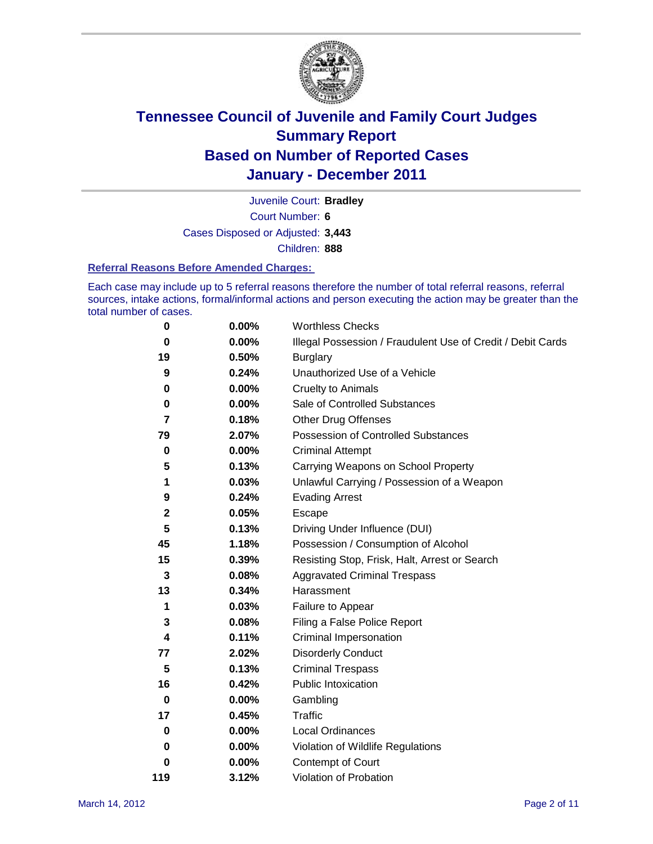

Court Number: **6** Juvenile Court: **Bradley** Cases Disposed or Adjusted: **3,443** Children: **888**

#### **Referral Reasons Before Amended Charges:**

Each case may include up to 5 referral reasons therefore the number of total referral reasons, referral sources, intake actions, formal/informal actions and person executing the action may be greater than the total number of cases.

| $\pmb{0}$   | 0.00%    | <b>Worthless Checks</b>                                     |
|-------------|----------|-------------------------------------------------------------|
| 0           | 0.00%    | Illegal Possession / Fraudulent Use of Credit / Debit Cards |
| 19          | 0.50%    | <b>Burglary</b>                                             |
| 9           | 0.24%    | Unauthorized Use of a Vehicle                               |
| 0           | $0.00\%$ | <b>Cruelty to Animals</b>                                   |
| 0           | 0.00%    | Sale of Controlled Substances                               |
| 7           | 0.18%    | <b>Other Drug Offenses</b>                                  |
| 79          | 2.07%    | Possession of Controlled Substances                         |
| $\mathbf 0$ | $0.00\%$ | <b>Criminal Attempt</b>                                     |
| 5           | 0.13%    | Carrying Weapons on School Property                         |
| 1           | 0.03%    | Unlawful Carrying / Possession of a Weapon                  |
| 9           | 0.24%    | <b>Evading Arrest</b>                                       |
| $\mathbf 2$ | 0.05%    | Escape                                                      |
| 5           | 0.13%    | Driving Under Influence (DUI)                               |
| 45          | 1.18%    | Possession / Consumption of Alcohol                         |
| 15          | 0.39%    | Resisting Stop, Frisk, Halt, Arrest or Search               |
| 3           | 0.08%    | <b>Aggravated Criminal Trespass</b>                         |
| 13          | 0.34%    | Harassment                                                  |
| 1           | 0.03%    | Failure to Appear                                           |
| 3           | 0.08%    | Filing a False Police Report                                |
| 4           | 0.11%    | Criminal Impersonation                                      |
| 77          | 2.02%    | <b>Disorderly Conduct</b>                                   |
| 5           | 0.13%    | <b>Criminal Trespass</b>                                    |
| 16          | 0.42%    | <b>Public Intoxication</b>                                  |
| $\mathbf 0$ | $0.00\%$ | Gambling                                                    |
| 17          | 0.45%    | <b>Traffic</b>                                              |
| 0           | $0.00\%$ | Local Ordinances                                            |
| 0           | $0.00\%$ | Violation of Wildlife Regulations                           |
| 0           | $0.00\%$ | Contempt of Court                                           |
| 119         | 3.12%    | Violation of Probation                                      |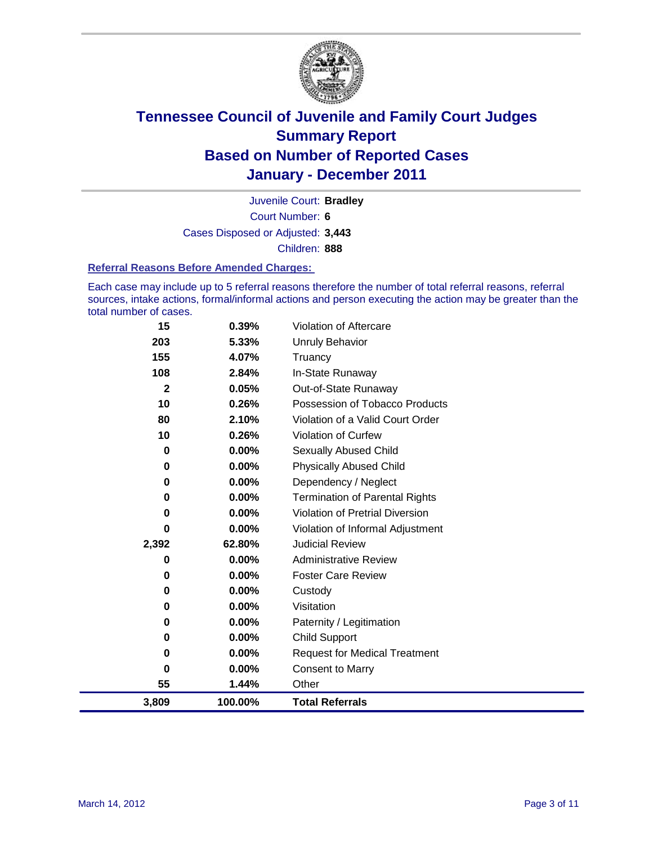

Court Number: **6** Juvenile Court: **Bradley** Cases Disposed or Adjusted: **3,443** Children: **888**

#### **Referral Reasons Before Amended Charges:**

Each case may include up to 5 referral reasons therefore the number of total referral reasons, referral sources, intake actions, formal/informal actions and person executing the action may be greater than the total number of cases.

| 15           | 0.39%    | <b>Violation of Aftercare</b>          |
|--------------|----------|----------------------------------------|
| 203          | 5.33%    | <b>Unruly Behavior</b>                 |
| 155          | 4.07%    | Truancy                                |
| 108          | 2.84%    | In-State Runaway                       |
| $\mathbf{2}$ | 0.05%    | Out-of-State Runaway                   |
| 10           | 0.26%    | Possession of Tobacco Products         |
| 80           | 2.10%    | Violation of a Valid Court Order       |
| 10           | 0.26%    | <b>Violation of Curfew</b>             |
| 0            | $0.00\%$ | <b>Sexually Abused Child</b>           |
| $\bf{0}$     | 0.00%    | <b>Physically Abused Child</b>         |
| 0            | 0.00%    | Dependency / Neglect                   |
| 0            | 0.00%    | <b>Termination of Parental Rights</b>  |
| 0            | 0.00%    | <b>Violation of Pretrial Diversion</b> |
| 0            | 0.00%    | Violation of Informal Adjustment       |
| 2,392        | 62.80%   | <b>Judicial Review</b>                 |
| 0            | $0.00\%$ | <b>Administrative Review</b>           |
| 0            | $0.00\%$ | <b>Foster Care Review</b>              |
| 0            | 0.00%    | Custody                                |
| 0            | $0.00\%$ | Visitation                             |
| 0            | 0.00%    | Paternity / Legitimation               |
| 0            | $0.00\%$ | <b>Child Support</b>                   |
| 0            | 0.00%    | <b>Request for Medical Treatment</b>   |
| 0            | $0.00\%$ | <b>Consent to Marry</b>                |
| 55           | 1.44%    | Other                                  |
| 3,809        | 100.00%  | <b>Total Referrals</b>                 |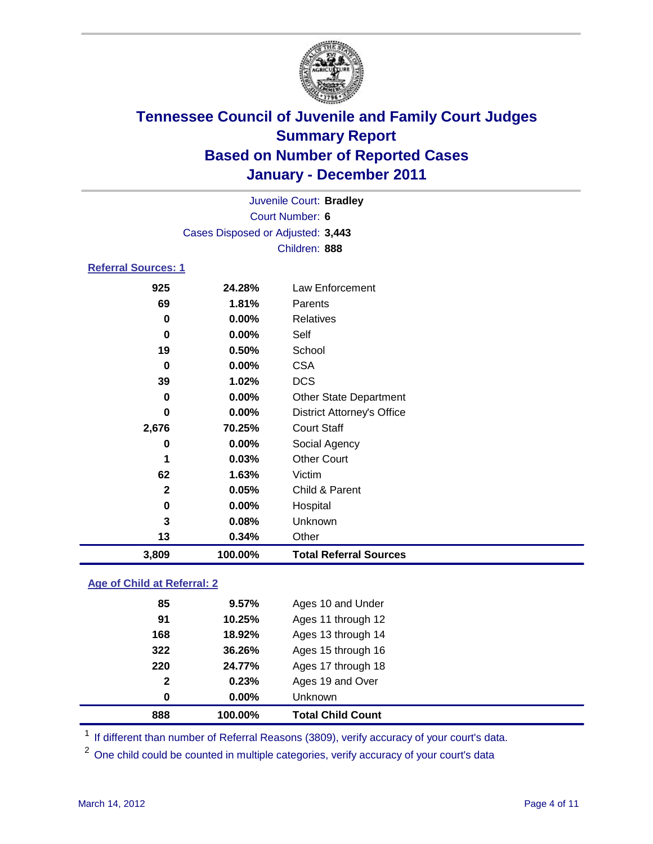

| 3,809                      | 100.00%                           | <b>Total Referral Sources</b>     |  |  |  |
|----------------------------|-----------------------------------|-----------------------------------|--|--|--|
| 13                         | 0.34%                             | Other                             |  |  |  |
| 3                          | 0.08%                             | Unknown                           |  |  |  |
| 0                          | $0.00\%$                          | Hospital                          |  |  |  |
| 2                          | 0.05%                             | Child & Parent                    |  |  |  |
| 62                         | 1.63%                             | Victim                            |  |  |  |
| 1                          | 0.03%                             | <b>Other Court</b>                |  |  |  |
| 0                          | $0.00\%$                          | Social Agency                     |  |  |  |
| 2,676                      | 70.25%                            | <b>Court Staff</b>                |  |  |  |
| 0                          | $0.00\%$                          | <b>District Attorney's Office</b> |  |  |  |
| 0                          | $0.00\%$                          | <b>Other State Department</b>     |  |  |  |
| 39                         | 1.02%                             | <b>DCS</b>                        |  |  |  |
| 0                          | $0.00\%$                          | <b>CSA</b>                        |  |  |  |
| 19                         | 0.50%                             | School                            |  |  |  |
| 0                          | $0.00\%$                          | Self                              |  |  |  |
| 0                          | $0.00\%$                          | <b>Relatives</b>                  |  |  |  |
| 69                         | 1.81%                             | Parents                           |  |  |  |
| 925                        | 24.28%                            | <b>Law Enforcement</b>            |  |  |  |
| <b>Referral Sources: 1</b> |                                   |                                   |  |  |  |
|                            | Children: 888                     |                                   |  |  |  |
|                            | Cases Disposed or Adjusted: 3,443 |                                   |  |  |  |
|                            | Court Number: 6                   |                                   |  |  |  |
|                            | Juvenile Court: Bradley           |                                   |  |  |  |
|                            |                                   |                                   |  |  |  |

### **Age of Child at Referral: 2**

| 0            | 0.00%  | <b>Unknown</b>     |  |
|--------------|--------|--------------------|--|
| $\mathbf{2}$ | 0.23%  | Ages 19 and Over   |  |
| 220          | 24.77% | Ages 17 through 18 |  |
| 322          | 36.26% | Ages 15 through 16 |  |
| 168          | 18.92% | Ages 13 through 14 |  |
| 91           | 10.25% | Ages 11 through 12 |  |
| 85           | 9.57%  | Ages 10 and Under  |  |
|              |        |                    |  |

<sup>1</sup> If different than number of Referral Reasons (3809), verify accuracy of your court's data.

<sup>2</sup> One child could be counted in multiple categories, verify accuracy of your court's data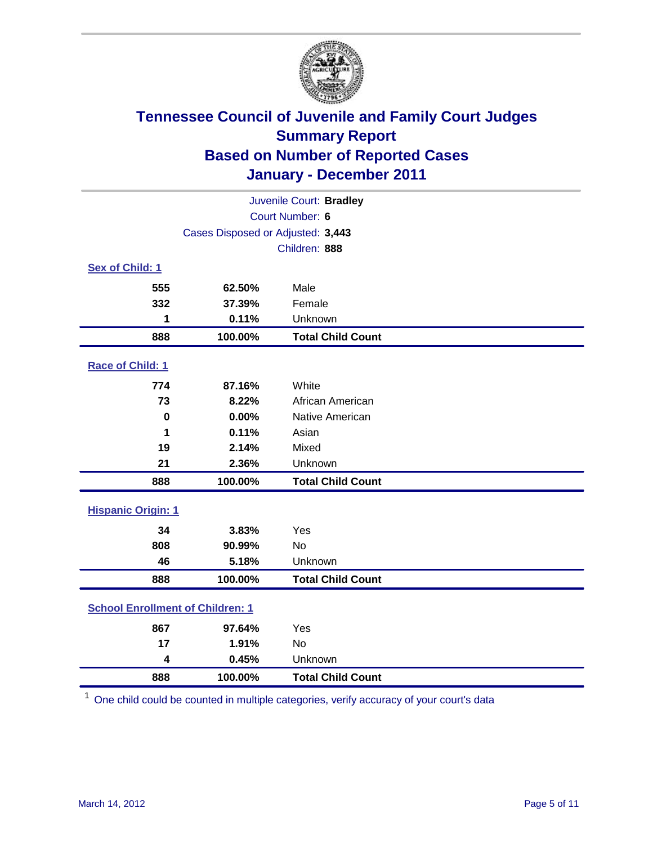

| Juvenile Court: Bradley   |                                         |                          |  |  |
|---------------------------|-----------------------------------------|--------------------------|--|--|
|                           | Court Number: 6                         |                          |  |  |
|                           | Cases Disposed or Adjusted: 3,443       |                          |  |  |
|                           |                                         | Children: 888            |  |  |
| Sex of Child: 1           |                                         |                          |  |  |
| 555                       | 62.50%                                  | Male                     |  |  |
| 332                       | 37.39%                                  | Female                   |  |  |
| 1                         | 0.11%                                   | Unknown                  |  |  |
| 888                       | 100.00%                                 | <b>Total Child Count</b> |  |  |
| Race of Child: 1          |                                         |                          |  |  |
| 774                       | 87.16%                                  | White                    |  |  |
| 73                        | 8.22%                                   | African American         |  |  |
| $\mathbf 0$               | 0.00%                                   | Native American          |  |  |
| 1                         | 0.11%                                   | Asian                    |  |  |
| 19                        | 2.14%                                   | Mixed                    |  |  |
| 21                        | 2.36%                                   | Unknown                  |  |  |
| 888                       | 100.00%                                 | <b>Total Child Count</b> |  |  |
| <b>Hispanic Origin: 1</b> |                                         |                          |  |  |
| 34                        | 3.83%                                   | Yes                      |  |  |
| 808                       | 90.99%                                  | No                       |  |  |
| 46                        | 5.18%                                   | Unknown                  |  |  |
| 888                       | 100.00%                                 | <b>Total Child Count</b> |  |  |
|                           | <b>School Enrollment of Children: 1</b> |                          |  |  |
| 867                       | 97.64%                                  | Yes                      |  |  |
| 17                        | 1.91%                                   | <b>No</b>                |  |  |
| 4                         | 0.45%                                   | Unknown                  |  |  |
| 888                       | 100.00%                                 | <b>Total Child Count</b> |  |  |

One child could be counted in multiple categories, verify accuracy of your court's data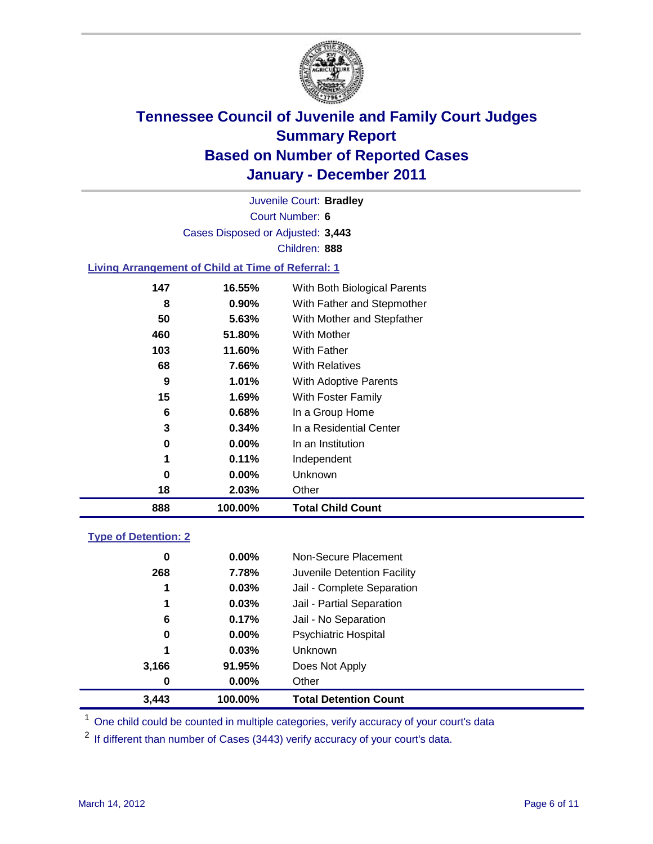

Court Number: **6** Juvenile Court: **Bradley** Cases Disposed or Adjusted: **3,443** Children: **888**

#### **Living Arrangement of Child at Time of Referral: 1**

| 3<br>0<br>1<br>0<br>18 | $0.34\%$<br>$0.00\%$<br>0.11%<br>$0.00\%$<br>2.03% | In a Residential Center<br>In an Institution<br>Independent<br>Unknown<br>Other |
|------------------------|----------------------------------------------------|---------------------------------------------------------------------------------|
|                        |                                                    |                                                                                 |
|                        |                                                    |                                                                                 |
|                        |                                                    |                                                                                 |
|                        |                                                    |                                                                                 |
|                        |                                                    |                                                                                 |
| 6                      | 0.68%                                              | In a Group Home                                                                 |
| 15                     | 1.69%                                              | With Foster Family                                                              |
| 9                      | 1.01%                                              | With Adoptive Parents                                                           |
| 68                     | 7.66%                                              | <b>With Relatives</b>                                                           |
| 103                    | 11.60%                                             | <b>With Father</b>                                                              |
| 460                    | 51.80%                                             | With Mother                                                                     |
| 50                     | 5.63%                                              | With Mother and Stepfather                                                      |
| 8                      | $0.90\%$                                           | With Father and Stepmother                                                      |
| 147                    | 16.55%                                             | With Both Biological Parents                                                    |
|                        |                                                    |                                                                                 |

#### **Type of Detention: 2**

| 3,443 | 100.00%  | <b>Total Detention Count</b> |  |
|-------|----------|------------------------------|--|
| 0     | $0.00\%$ | Other                        |  |
| 3,166 | 91.95%   | Does Not Apply               |  |
| 1     | 0.03%    | Unknown                      |  |
| 0     | 0.00%    | <b>Psychiatric Hospital</b>  |  |
| 6     | 0.17%    | Jail - No Separation         |  |
| 1     | 0.03%    | Jail - Partial Separation    |  |
| 1     | 0.03%    | Jail - Complete Separation   |  |
| 268   | 7.78%    | Juvenile Detention Facility  |  |
| 0     | $0.00\%$ | Non-Secure Placement         |  |
|       |          |                              |  |

<sup>1</sup> One child could be counted in multiple categories, verify accuracy of your court's data

<sup>2</sup> If different than number of Cases (3443) verify accuracy of your court's data.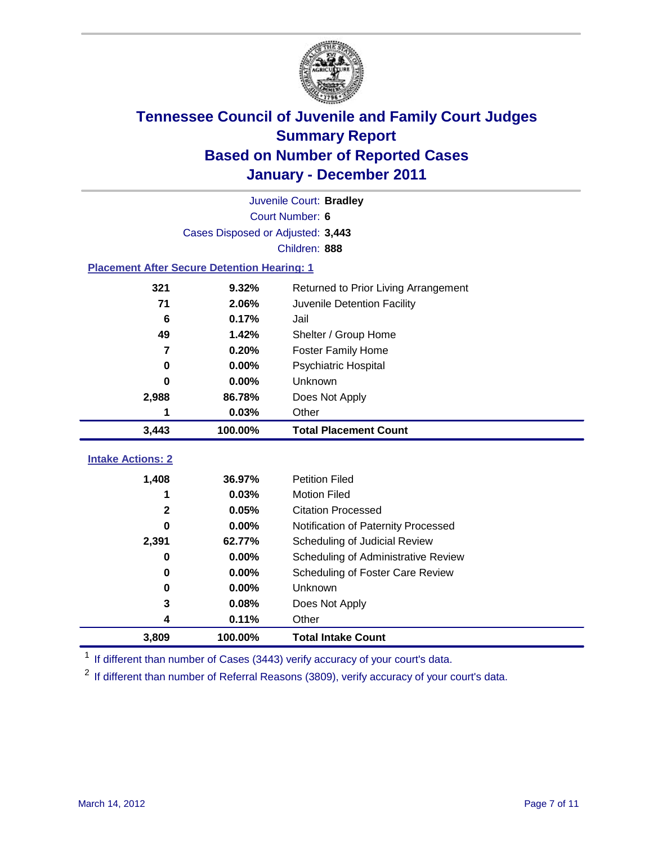

|                                                    | Juvenile Court: Bradley           |                                      |  |  |  |
|----------------------------------------------------|-----------------------------------|--------------------------------------|--|--|--|
|                                                    | Court Number: 6                   |                                      |  |  |  |
|                                                    | Cases Disposed or Adjusted: 3,443 |                                      |  |  |  |
|                                                    |                                   | Children: 888                        |  |  |  |
| <b>Placement After Secure Detention Hearing: 1</b> |                                   |                                      |  |  |  |
| 321                                                | 9.32%                             | Returned to Prior Living Arrangement |  |  |  |
| 71                                                 | 2.06%                             | Juvenile Detention Facility          |  |  |  |
| 6                                                  | 0.17%                             | Jail                                 |  |  |  |
| 49                                                 | 1.42%                             | Shelter / Group Home                 |  |  |  |
| $\overline{\mathbf{z}}$                            | 0.20%                             | Foster Family Home                   |  |  |  |
| 0                                                  | 0.00%                             | Psychiatric Hospital                 |  |  |  |
| 0                                                  | 0.00%                             | Unknown                              |  |  |  |
| 2,988<br>86.78%                                    |                                   | Does Not Apply                       |  |  |  |
| 1                                                  | 0.03%                             | Other                                |  |  |  |
| 3,443                                              | 100.00%                           | <b>Total Placement Count</b>         |  |  |  |
| <b>Intake Actions: 2</b>                           |                                   |                                      |  |  |  |
|                                                    |                                   |                                      |  |  |  |
| 1,408                                              | 36.97%                            | <b>Petition Filed</b>                |  |  |  |
| 1                                                  | 0.03%                             | <b>Motion Filed</b>                  |  |  |  |
| 2                                                  | 0.05%                             | <b>Citation Processed</b>            |  |  |  |
| U                                                  | 0.00%                             | Notification of Paternity Processed  |  |  |  |
| 2,391                                              | 62.77%                            | Scheduling of Judicial Review        |  |  |  |
| $\bf{0}$                                           | 0.00%                             | Scheduling of Administrative Review  |  |  |  |
| 0                                                  | 0.00%                             | Scheduling of Foster Care Review     |  |  |  |
| 0                                                  | 0.00%                             | <b>Unknown</b>                       |  |  |  |
| 3                                                  | 0.08%                             | Does Not Apply                       |  |  |  |
| 4                                                  | 0.11%                             | Other                                |  |  |  |
| 3,809                                              | 100.00%                           | <b>Total Intake Count</b>            |  |  |  |

<sup>1</sup> If different than number of Cases (3443) verify accuracy of your court's data.

<sup>2</sup> If different than number of Referral Reasons (3809), verify accuracy of your court's data.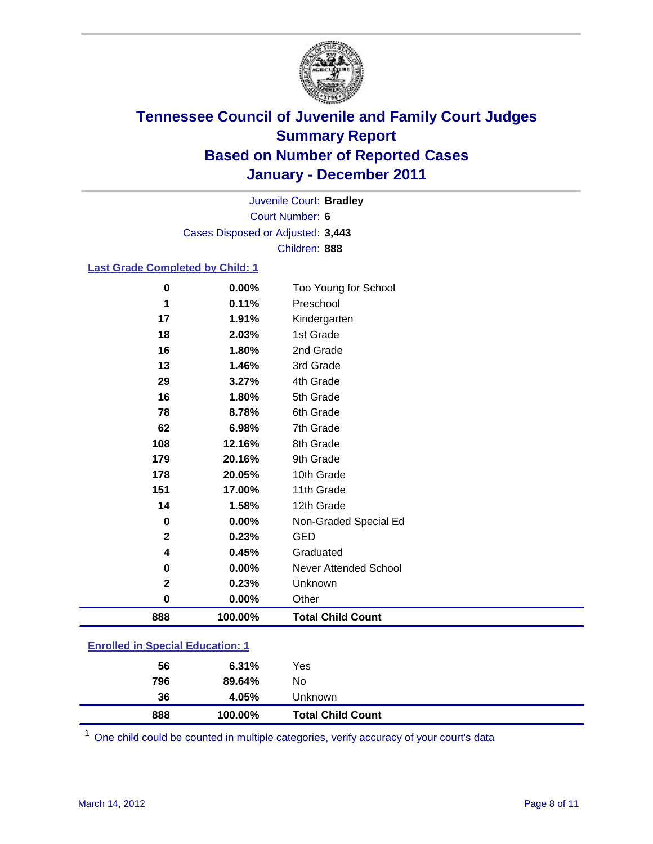

Court Number: **6** Juvenile Court: **Bradley** Cases Disposed or Adjusted: **3,443** Children: **888**

### **Last Grade Completed by Child: 1**

| 888          | 100.00% | <b>Total Child Count</b> |
|--------------|---------|--------------------------|
|              |         |                          |
| 0            | 0.00%   | Other                    |
| $\mathbf 2$  | 0.23%   | Unknown                  |
| 0            | 0.00%   | Never Attended School    |
| 4            | 0.45%   | Graduated                |
| $\mathbf{2}$ | 0.23%   | <b>GED</b>               |
| 0            | 0.00%   | Non-Graded Special Ed    |
| 14           | 1.58%   | 12th Grade               |
| 151          | 17.00%  | 11th Grade               |
| 178          | 20.05%  | 10th Grade               |
| 179          | 20.16%  | 9th Grade                |
| 108          | 12.16%  | 8th Grade                |
| 62           | 6.98%   | 7th Grade                |
| 78           | 8.78%   | 6th Grade                |
| 16           | 1.80%   | 5th Grade                |
| 29           | 3.27%   | 4th Grade                |
| 13           | 1.46%   | 3rd Grade                |
| 16           | 1.80%   | 2nd Grade                |
| 18           | 2.03%   | 1st Grade                |
| 17           | 1.91%   | Kindergarten             |
| 1            | 0.11%   | Preschool                |
| 0            | 0.00%   | Too Young for School     |

### **Enrolled in Special Education: 1**

| 888<br>100.00% |     | <b>Total Child Count</b> |
|----------------|-----|--------------------------|
| 36<br>4.05%    |     | Unknown                  |
| 796<br>89.64%  | No  |                          |
| 6.31%<br>56    | Yes |                          |
|                |     |                          |

One child could be counted in multiple categories, verify accuracy of your court's data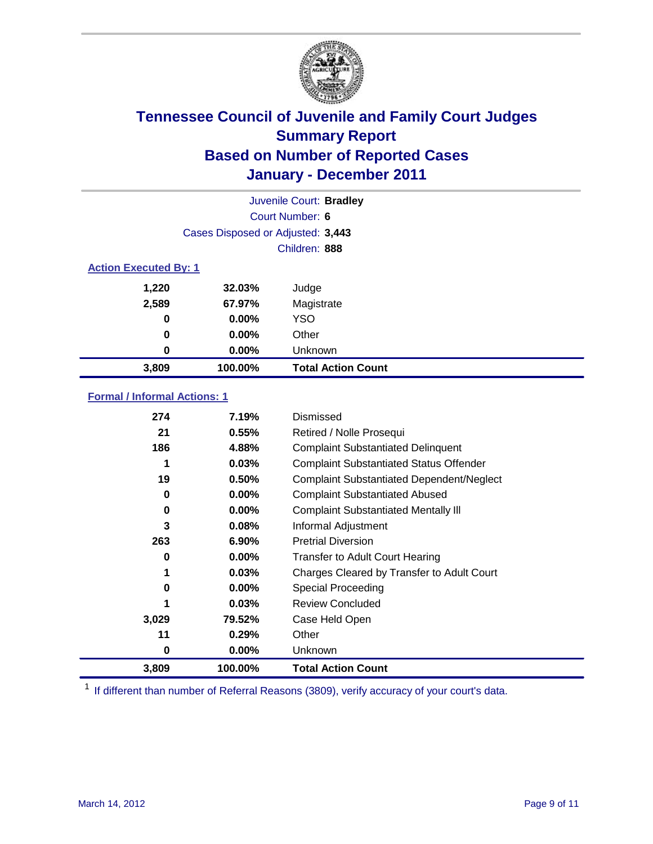

|               | Juvenile Court: Bradley           |                           |  |  |  |
|---------------|-----------------------------------|---------------------------|--|--|--|
|               |                                   | Court Number: 6           |  |  |  |
|               | Cases Disposed or Adjusted: 3,443 |                           |  |  |  |
|               | Children: 888                     |                           |  |  |  |
|               | <b>Action Executed By: 1</b>      |                           |  |  |  |
| 1,220         | 32.03%                            | Judge                     |  |  |  |
| 2,589         | 67.97%                            | Magistrate                |  |  |  |
| 0             | 0.00%                             | <b>YSO</b>                |  |  |  |
| 0<br>$0.00\%$ |                                   | Other                     |  |  |  |
| 0             | 0.00%                             | Unknown                   |  |  |  |
| 3,809         | 100.00%                           | <b>Total Action Count</b> |  |  |  |

### **Formal / Informal Actions: 1**

| 274   | 7.19%    | Dismissed                                        |
|-------|----------|--------------------------------------------------|
| 21    | 0.55%    | Retired / Nolle Prosequi                         |
| 186   | 4.88%    | <b>Complaint Substantiated Delinquent</b>        |
|       | 0.03%    | <b>Complaint Substantiated Status Offender</b>   |
| 19    | 0.50%    | <b>Complaint Substantiated Dependent/Neglect</b> |
| 0     | $0.00\%$ | <b>Complaint Substantiated Abused</b>            |
| 0     | $0.00\%$ | <b>Complaint Substantiated Mentally III</b>      |
| 3     | 0.08%    | Informal Adjustment                              |
| 263   | $6.90\%$ | <b>Pretrial Diversion</b>                        |
| 0     | $0.00\%$ | <b>Transfer to Adult Court Hearing</b>           |
| 1     | 0.03%    | Charges Cleared by Transfer to Adult Court       |
| 0     | $0.00\%$ | Special Proceeding                               |
|       | 0.03%    | <b>Review Concluded</b>                          |
| 3,029 | 79.52%   | Case Held Open                                   |
| 11    | 0.29%    | Other                                            |
| 0     | $0.00\%$ | <b>Unknown</b>                                   |
| 3,809 | 100.00%  | <b>Total Action Count</b>                        |

<sup>1</sup> If different than number of Referral Reasons (3809), verify accuracy of your court's data.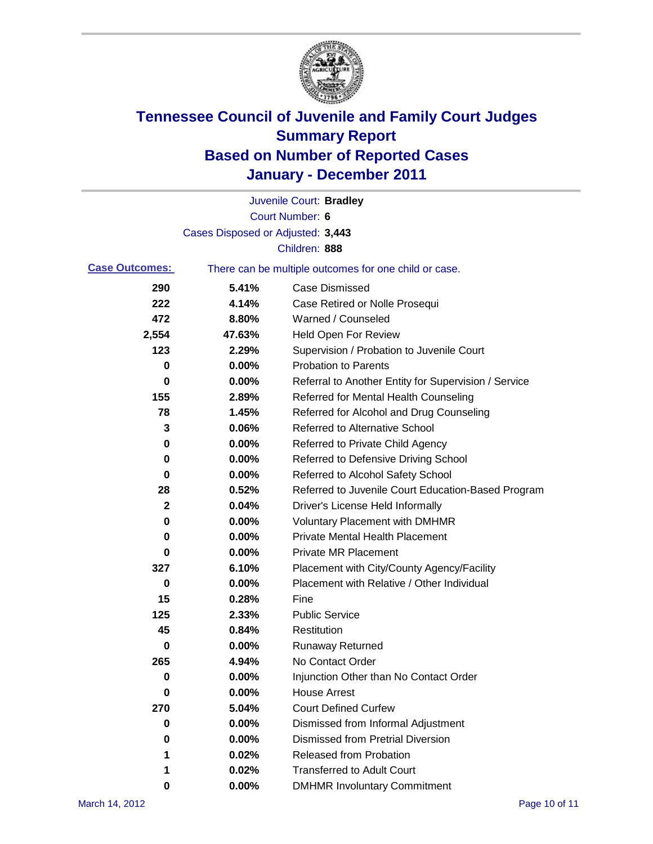

|                       |                                   | Juvenile Court: Bradley                               |
|-----------------------|-----------------------------------|-------------------------------------------------------|
|                       |                                   | Court Number: 6                                       |
|                       | Cases Disposed or Adjusted: 3,443 |                                                       |
|                       |                                   | Children: 888                                         |
| <b>Case Outcomes:</b> |                                   | There can be multiple outcomes for one child or case. |
| 290                   | 5.41%                             | <b>Case Dismissed</b>                                 |
| 222                   | 4.14%                             | Case Retired or Nolle Prosequi                        |
| 472                   | 8.80%                             | Warned / Counseled                                    |
| 2,554                 | 47.63%                            | <b>Held Open For Review</b>                           |
| 123                   | 2.29%                             | Supervision / Probation to Juvenile Court             |
| 0                     | 0.00%                             | <b>Probation to Parents</b>                           |
| 0                     | 0.00%                             | Referral to Another Entity for Supervision / Service  |
| 155                   | 2.89%                             | Referred for Mental Health Counseling                 |
| 78                    | 1.45%                             | Referred for Alcohol and Drug Counseling              |
| 3                     | 0.06%                             | <b>Referred to Alternative School</b>                 |
| 0                     | 0.00%                             | Referred to Private Child Agency                      |
| 0                     | 0.00%                             | Referred to Defensive Driving School                  |
| 0                     | 0.00%                             | Referred to Alcohol Safety School                     |
| 28                    | 0.52%                             | Referred to Juvenile Court Education-Based Program    |
| 2                     | 0.04%                             | Driver's License Held Informally                      |
| 0                     | 0.00%                             | <b>Voluntary Placement with DMHMR</b>                 |
| 0                     | 0.00%                             | <b>Private Mental Health Placement</b>                |
| 0                     | 0.00%                             | <b>Private MR Placement</b>                           |
| 327                   | 6.10%                             | Placement with City/County Agency/Facility            |
| 0                     | 0.00%                             | Placement with Relative / Other Individual            |
| 15                    | 0.28%                             | Fine                                                  |
| 125                   | 2.33%                             | <b>Public Service</b>                                 |
| 45                    | 0.84%                             | Restitution                                           |
| 0                     | 0.00%                             | <b>Runaway Returned</b>                               |
| 265                   | 4.94%                             | No Contact Order                                      |
| 0                     | 0.00%                             | Injunction Other than No Contact Order                |
| 0                     | 0.00%                             | <b>House Arrest</b>                                   |
| 270                   | 5.04%                             | <b>Court Defined Curfew</b>                           |
| 0                     | 0.00%                             | Dismissed from Informal Adjustment                    |
| 0                     | 0.00%                             | <b>Dismissed from Pretrial Diversion</b>              |
| 1                     | 0.02%                             | Released from Probation                               |
| 1                     | 0.02%                             | <b>Transferred to Adult Court</b>                     |
| 0                     | $0.00\%$                          | <b>DMHMR Involuntary Commitment</b>                   |